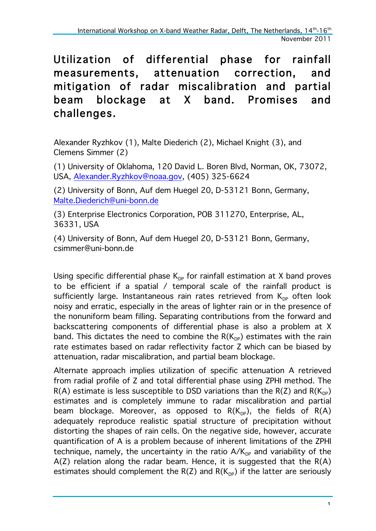## Utilization of differential phase for rainfall measurements, attenuation correction, and mitigation of radar miscalibration and partial beam blockage at X band. Promises and challenges.

Alexander Ryzhkov (1), Malte Diederich (2), Michael Knight (3), and Clemens Simmer (2)

(1) University of Oklahoma, 120 David L. Boren Blvd, Norman, OK, 73072, USA, Alexander.Ryzhkov@noaa.gov, (405) 325-6624

(2) University of Bonn, Auf dem Huegel 20, D-53121 Bonn, Germany, Malte.Diederich@uni-bonn.de

(3) Enterprise Electronics Corporation, POB 311270, Enterprise, AL, 36331, USA

(4) University of Bonn, Auf dem Huegel 20, D-53121 Bonn, Germany, csimmer@uni-bonn.de

Using specific differential phase  $K_{DP}$  for rainfall estimation at X band proves to be efficient if a spatial / temporal scale of the rainfall product is sufficiently large. Instantaneous rain rates retrieved from  $K_{DP}$  often look noisy and erratic, especially in the areas of lighter rain or in the presence of the nonuniform beam filling. Separating contributions from the forward and backscattering components of differential phase is also a problem at X band. This dictates the need to combine the  $R(K_{DP})$  estimates with the rain rate estimates based on radar reflectivity factor Z which can be biased by attenuation, radar miscalibration, and partial beam blockage.

Alternate approach implies utilization of specific attenuation A retrieved from radial profile of Z and total differential phase using ZPHI method. The  $R(A)$  estimate is less susceptible to DSD variations than the  $R(Z)$  and  $R(K_{\text{DP}})$ estimates and is completely immune to radar miscalibration and partial beam blockage. Moreover, as opposed to  $R(K_{DP})$ , the fields of  $R(A)$ adequately reproduce realistic spatial structure of precipitation without distorting the shapes of rain cells. On the negative side, however, accurate quantification of A is a problem because of inherent limitations of the ZPHI technique, namely, the uncertainty in the ratio  $A/K_{\text{DP}}$  and variability of the  $A(Z)$  relation along the radar beam. Hence, it is suggested that the  $R(A)$ estimates should complement the  $R(Z)$  and  $R(K_{DP})$  if the latter are seriously